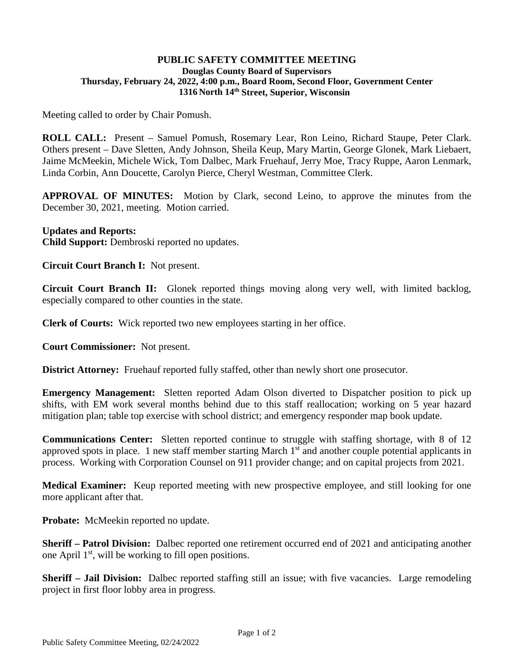## **PUBLIC SAFETY COMMITTEE MEETING Douglas County Board of Supervisors Thursday, February 24, 2022, 4:00 p.m., Board Room, Second Floor, Government Center 1316 North 14th Street, Superior, Wisconsin**

Meeting called to order by Chair Pomush.

**ROLL CALL:** Present – Samuel Pomush, Rosemary Lear, Ron Leino, Richard Staupe, Peter Clark. Others present – Dave Sletten, Andy Johnson, Sheila Keup, Mary Martin, George Glonek, Mark Liebaert, Jaime McMeekin, Michele Wick, Tom Dalbec, Mark Fruehauf, Jerry Moe, Tracy Ruppe, Aaron Lenmark, Linda Corbin, Ann Doucette, Carolyn Pierce, Cheryl Westman, Committee Clerk.

**APPROVAL OF MINUTES:** Motion by Clark, second Leino, to approve the minutes from the December 30, 2021, meeting. Motion carried.

## **Updates and Reports:**

**Child Support:** Dembroski reported no updates.

**Circuit Court Branch I:** Not present.

**Circuit Court Branch II:** Glonek reported things moving along very well, with limited backlog, especially compared to other counties in the state.

**Clerk of Courts:** Wick reported two new employees starting in her office.

**Court Commissioner:** Not present.

**District Attorney:** Fruehauf reported fully staffed, other than newly short one prosecutor.

**Emergency Management:** Sletten reported Adam Olson diverted to Dispatcher position to pick up shifts, with EM work several months behind due to this staff reallocation; working on 5 year hazard mitigation plan; table top exercise with school district; and emergency responder map book update.

**Communications Center:** Sletten reported continue to struggle with staffing shortage, with 8 of 12 approved spots in place. 1 new staff member starting March 1<sup>st</sup> and another couple potential applicants in process. Working with Corporation Counsel on 911 provider change; and on capital projects from 2021.

**Medical Examiner:** Keup reported meeting with new prospective employee, and still looking for one more applicant after that.

**Probate:** McMeekin reported no update.

**Sheriff – Patrol Division:** Dalbec reported one retirement occurred end of 2021 and anticipating another one April 1st, will be working to fill open positions.

**Sheriff – Jail Division:** Dalbec reported staffing still an issue; with five vacancies. Large remodeling project in first floor lobby area in progress.